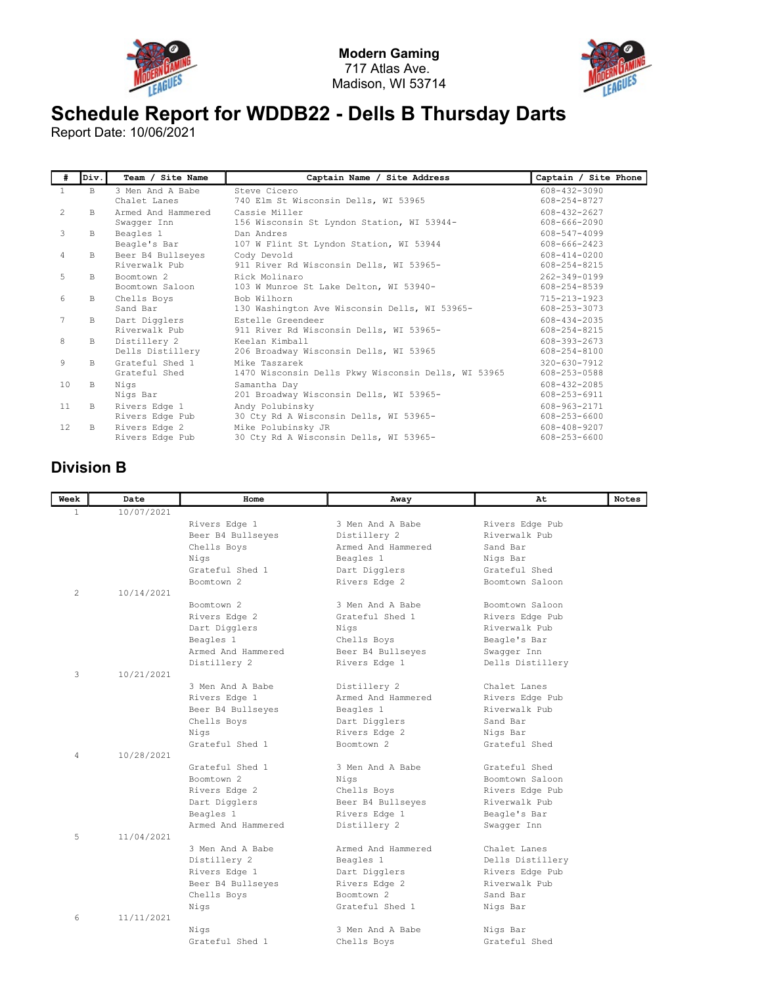



## Schedule Report for WDDB22 - Dells B Thursday Darts

Report Date: 10/06/2021

| #            | lDiv.l | Team / Site Name                   | Captain Name / Site Address                                          | Captain / Site Phone               |
|--------------|--------|------------------------------------|----------------------------------------------------------------------|------------------------------------|
| $\mathbf{1}$ | B.     | 3 Men And A Babe<br>Chalet Lanes   | Steve Cicero<br>740 Elm St Wisconsin Dells, WI 53965                 | 608-432-3090<br>608-254-8727       |
| 2            | B.     | Armed And Hammered<br>Swagger Inn  | Cassie Miller<br>156 Wisconsin St Lyndon Station, WI 53944-          | 608-432-2627<br>608-666-2090       |
| 3            | B      | Beagles 1<br>Beagle's Bar          | Dan Andres<br>107 W Flint St Lyndon Station, WI 53944                | 608-547-4099<br>608-666-2423       |
| 4            | B      | Beer B4 Bullseyes<br>Riverwalk Pub | Cody Devold<br>911 River Rd Wisconsin Dells, WI 53965-               | $608 - 414 - 0200$<br>608-254-8215 |
| 5            | B.     | Boomtown 2<br>Boomtown Saloon      | Rick Molinaro<br>103 W Munroe St Lake Delton, WI 53940-              | 262-349-0199<br>608-254-8539       |
| 6            | B.     | Chells Boys<br>Sand Bar            | Bob Wilhorn<br>130 Washington Ave Wisconsin Dells, WI 53965-         | $715 - 213 - 1923$<br>608-253-3073 |
| 7            | В      | Dart Digglers<br>Riverwalk Pub     | Estelle Greendeer<br>911 River Rd Wisconsin Dells, WI 53965-         | 608-434-2035<br>$608 - 254 - 8215$ |
| 8            | B      | Distillery 2<br>Dells Distillery   | Keelan Kimball<br>206 Broadway Wisconsin Dells, WI 53965             | 608-393-2673<br>608-254-8100       |
| 9            | B.     | Grateful Shed 1<br>Grateful Shed   | Mike Taszarek<br>1470 Wisconsin Dells Pkwy Wisconsin Dells, WI 53965 | $320 - 630 - 7912$<br>608-253-0588 |
| 10           | B.     | Nigs<br>Nigs Bar                   | Samantha Day<br>201 Broadway Wisconsin Dells, WI 53965-              | $608 - 432 - 2085$<br>608-253-6911 |
| 11           | B.     | Rivers Edge 1<br>Rivers Edge Pub   | Andy Polubinsky<br>30 Cty Rd A Wisconsin Dells, WI 53965-            | 608-963-2171<br>608-253-6600       |
| 12.          | B.     | Rivers Edge 2<br>Rivers Edge Pub   | Mike Polubinsky JR<br>30 Cty Rd A Wisconsin Dells, WI 53965-         | 608-408-9207<br>608-253-6600       |

## Division B

| Week           | Date       | Home               | Away               | At               | <b>Notes</b> |
|----------------|------------|--------------------|--------------------|------------------|--------------|
| $\mathbf{1}$   | 10/07/2021 |                    |                    |                  |              |
|                |            | Rivers Edge 1      | 3 Men And A Babe   | Rivers Edge Pub  |              |
|                |            | Beer B4 Bullseyes  | Distillery 2       | Riverwalk Pub    |              |
|                |            | Chells Boys        | Armed And Hammered | Sand Bar         |              |
|                |            | Nigs               | Beagles 1          | Nigs Bar         |              |
|                |            | Grateful Shed 1    | Dart Digglers      | Grateful Shed    |              |
|                |            | Boomtown 2         | Rivers Edge 2      | Boomtown Saloon  |              |
| $\overline{2}$ | 10/14/2021 |                    |                    |                  |              |
|                |            | Boomtown 2         | 3 Men And A Babe   | Boomtown Saloon  |              |
|                |            | Rivers Edge 2      | Grateful Shed 1    | Rivers Edge Pub  |              |
|                |            | Dart Digglers      | Niqs               | Riverwalk Pub    |              |
|                |            | Beagles 1          | Chells Boys        | Beagle's Bar     |              |
|                |            | Armed And Hammered | Beer B4 Bullseyes  | Swaqqer Inn      |              |
|                |            | Distillery 2       | Rivers Edge 1      | Dells Distillery |              |
| 3              | 10/21/2021 |                    |                    |                  |              |
|                |            | 3 Men And A Babe   | Distillery 2       | Chalet Lanes     |              |
|                |            | Rivers Edge 1      | Armed And Hammered | Rivers Edge Pub  |              |
|                |            | Beer B4 Bullseyes  | Beagles 1          | Riverwalk Pub    |              |
|                |            | Chells Boys        | Dart Digglers      | Sand Bar         |              |
|                |            | Nigs               | Rivers Edge 2      | Nigs Bar         |              |
|                |            | Grateful Shed 1    | Boomtown 2         | Grateful Shed    |              |
| 4              | 10/28/2021 |                    |                    |                  |              |
|                |            | Grateful Shed 1    | 3 Men And A Babe   | Grateful Shed    |              |
|                |            | Boomtown 2         | Nigs               | Boomtown Saloon  |              |
|                |            | Rivers Edge 2      | Chells Boys        | Rivers Edge Pub  |              |
|                |            | Dart Digglers      | Beer B4 Bullseyes  | Riverwalk Pub    |              |
|                |            | Beagles 1          | Rivers Edge 1      | Beagle's Bar     |              |
|                |            | Armed And Hammered | Distillery 2       | Swagger Inn      |              |
| 5              | 11/04/2021 |                    |                    |                  |              |
|                |            | 3 Men And A Babe   | Armed And Hammered | Chalet Lanes     |              |
|                |            | Distillery 2       | Beagles 1          | Dells Distillery |              |
|                |            | Rivers Edge 1      | Dart Digglers      | Rivers Edge Pub  |              |
|                |            | Beer B4 Bullseyes  | Rivers Edge 2      | Riverwalk Pub    |              |
|                |            | Chells Boys        | Boomtown 2         | Sand Bar         |              |
|                |            | Nigs               | Grateful Shed 1    | Nigs Bar         |              |
| 6              | 11/11/2021 |                    |                    |                  |              |
|                |            | Nigs               | 3 Men And A Babe   | Nigs Bar         |              |
|                |            | Grateful Shed 1    | Chells Boys        | Grateful Shed    |              |
|                |            |                    |                    |                  |              |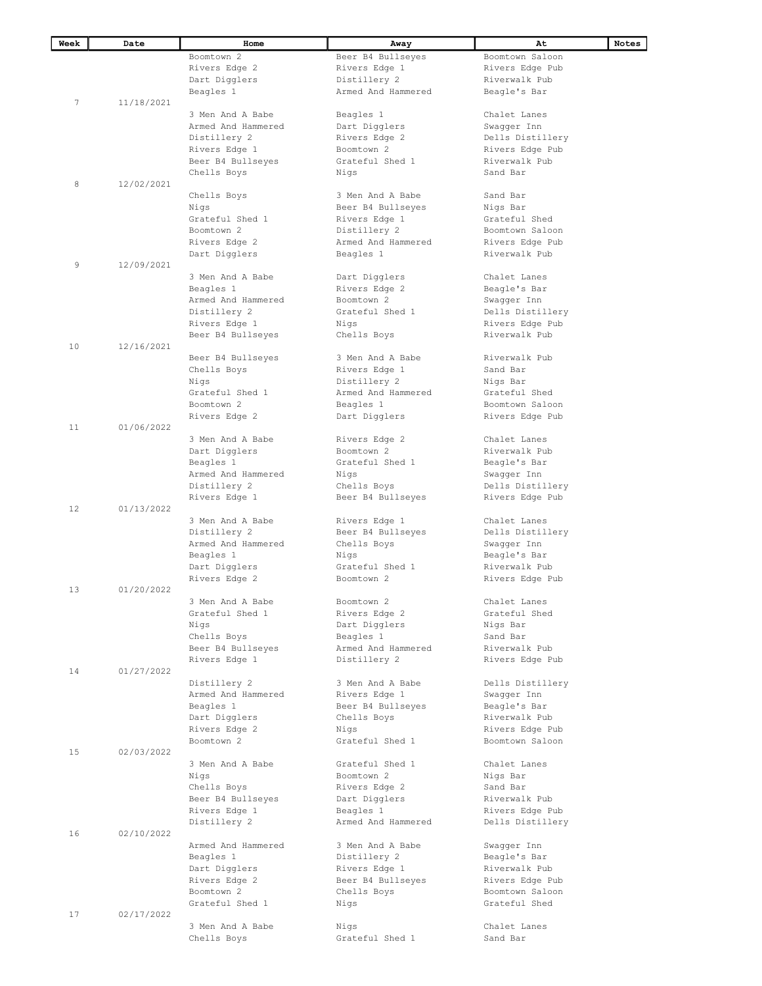| Week | Date       | Home               | Away                    | At               | Notes |
|------|------------|--------------------|-------------------------|------------------|-------|
|      |            | Boomtown 2         | Beer B4 Bullseyes       | Boomtown Saloon  |       |
|      |            | Rivers Edge 2      | Rivers Edge 1           | Rivers Edge Pub  |       |
|      |            | Dart Digglers      | Distillery 2            | Riverwalk Pub    |       |
|      |            | Beagles 1          | Armed And Hammered      | Beagle's Bar     |       |
| 7    | 11/18/2021 |                    |                         |                  |       |
|      |            |                    |                         |                  |       |
|      |            | 3 Men And A Babe   | Beagles 1               | Chalet Lanes     |       |
|      |            | Armed And Hammered | Dart Digglers           | Swagger Inn      |       |
|      |            | Distillery 2       | Rivers Edge 2           | Dells Distillery |       |
|      |            | Rivers Edge 1      | Boomtown 2              | Rivers Edge Pub  |       |
|      |            | Beer B4 Bullseyes  | Grateful Shed 1         | Riverwalk Pub    |       |
|      |            | Chells Boys        | Nigs                    | Sand Bar         |       |
| 8    | 12/02/2021 |                    |                         |                  |       |
|      |            | Chells Boys        | 3 Men And A Babe        | Sand Bar         |       |
|      |            | Nigs               | Beer B4 Bullseyes       | Nigs Bar         |       |
|      |            | Grateful Shed 1    | Rivers Edge 1           | Grateful Shed    |       |
|      |            | Boomtown 2         | Distillery 2            | Boomtown Saloon  |       |
|      |            | Rivers Edge 2      | Armed And Hammered      | Rivers Edge Pub  |       |
|      |            |                    |                         |                  |       |
| 9    | 12/09/2021 | Dart Digglers      | Beagles 1               | Riverwalk Pub    |       |
|      |            |                    |                         |                  |       |
|      |            | 3 Men And A Babe   | Dart Digglers           | Chalet Lanes     |       |
|      |            | Beagles 1          | Rivers Edge 2           | Beagle's Bar     |       |
|      |            | Armed And Hammered | Boomtown 2              | Swagger Inn      |       |
|      |            | Distillery 2       | Grateful Shed 1         | Dells Distillery |       |
|      |            | Rivers Edge 1      | Nigs                    | Rivers Edge Pub  |       |
|      |            | Beer B4 Bullseyes  | Chells Boys             | Riverwalk Pub    |       |
| 10   | 12/16/2021 |                    |                         |                  |       |
|      |            | Beer B4 Bullseyes  | 3 Men And A Babe        | Riverwalk Pub    |       |
|      |            | Chells Boys        | Rivers Edge 1           | Sand Bar         |       |
|      |            | Nigs               | Distillery 2            | Nigs Bar         |       |
|      |            | Grateful Shed 1    | Armed And Hammered      | Grateful Shed    |       |
|      |            | Boomtown 2         | Beagles 1               | Boomtown Saloon  |       |
|      |            | Rivers Edge 2      | Dart Digglers           | Rivers Edge Pub  |       |
| 11   | 01/06/2022 |                    |                         |                  |       |
|      |            | 3 Men And A Babe   | Rivers Edge 2           | Chalet Lanes     |       |
|      |            | Dart Digglers      | Boomtown 2              | Riverwalk Pub    |       |
|      |            | Beagles 1          | Grateful Shed 1         | Beagle's Bar     |       |
|      |            | Armed And Hammered |                         |                  |       |
|      |            |                    | Nigs                    | Swagger Inn      |       |
|      |            | Distillery 2       | Chells Boys             | Dells Distillery |       |
|      |            | Rivers Edge 1      | Beer B4 Bullseyes       | Rivers Edge Pub  |       |
| 12   | 01/13/2022 |                    |                         |                  |       |
|      |            | 3 Men And A Babe   | Rivers Edge 1           | Chalet Lanes     |       |
|      |            | Distillery 2       | Beer B4 Bullseyes       | Dells Distillery |       |
|      |            | Armed And Hammered | Chells Boys             | Swagger Inn      |       |
|      |            | Beagles 1          | Nigs                    | Beagle's Bar     |       |
|      |            | Dart Digglers      | Grateful Shed 1         | Riverwalk Pub    |       |
|      |            | Rivers Edge 2      | Boomtown 2              | Rivers Edge Pub  |       |
| 13   | 01/20/2022 |                    |                         |                  |       |
|      |            | 3 Men And A Babe   | Boomtown 2              | Chalet Lanes     |       |
|      |            | Grateful Shed 1    | Rivers Edge 2           | Grateful Shed    |       |
|      |            | Nigs               | Dart Digglers           | Nigs Bar         |       |
|      |            | Chells Boys        | Beagles 1               | Sand Bar         |       |
|      |            | Beer B4 Bullseyes  | Armed And Hammered      | Riverwalk Pub    |       |
|      |            |                    |                         |                  |       |
| 14   | 01/27/2022 | Rivers Edge 1      | Distillery 2            | Rivers Edge Pub  |       |
|      |            |                    | 3 Men And A Babe        |                  |       |
|      |            | Distillery 2       |                         | Dells Distillery |       |
|      |            | Armed And Hammered | Rivers Edge 1           | Swagger Inn      |       |
|      |            | Beagles 1          | Beer B4 Bullseyes       | Beagle's Bar     |       |
|      |            | Dart Digglers      | Chells Boys             | Riverwalk Pub    |       |
|      |            | Rivers Edge 2      | Nigs                    | Rivers Edge Pub  |       |
|      |            | Boomtown 2         | Grateful Shed 1         | Boomtown Saloon  |       |
| 15   | 02/03/2022 |                    |                         |                  |       |
|      |            | 3 Men And A Babe   | Grateful Shed 1         | Chalet Lanes     |       |
|      |            | Nigs               | Boomtown 2              | Nigs Bar         |       |
|      |            | Chells Boys        | Rivers Edge 2           | Sand Bar         |       |
|      |            | Beer B4 Bullseyes  | Dart Digglers           | Riverwalk Pub    |       |
|      |            | Rivers Edge 1      | Beagles 1               | Rivers Edge Pub  |       |
|      |            | Distillery 2       | Armed And Hammered      | Dells Distillery |       |
| 16   | 02/10/2022 |                    |                         |                  |       |
|      |            | Armed And Hammered | 3 Men And A Babe        | Swagger Inn      |       |
|      |            | Beagles 1          | Distillery 2            | Beagle's Bar     |       |
|      |            | Dart Digglers      | Rivers Edge 1           | Riverwalk Pub    |       |
|      |            | Rivers Edge 2      | Beer B4 Bullseyes       | Rivers Edge Pub  |       |
|      |            | Boomtown 2         | Chells Boys             | Boomtown Saloon  |       |
|      |            | Grateful Shed 1    | Nigs                    | Grateful Shed    |       |
| 17   | 02/17/2022 |                    |                         |                  |       |
|      |            | 3 Men And A Babe   |                         | Chalet Lanes     |       |
|      |            |                    | Nigs<br>Grateful Shed 1 | Sand Bar         |       |
|      |            | Chells Boys        |                         |                  |       |